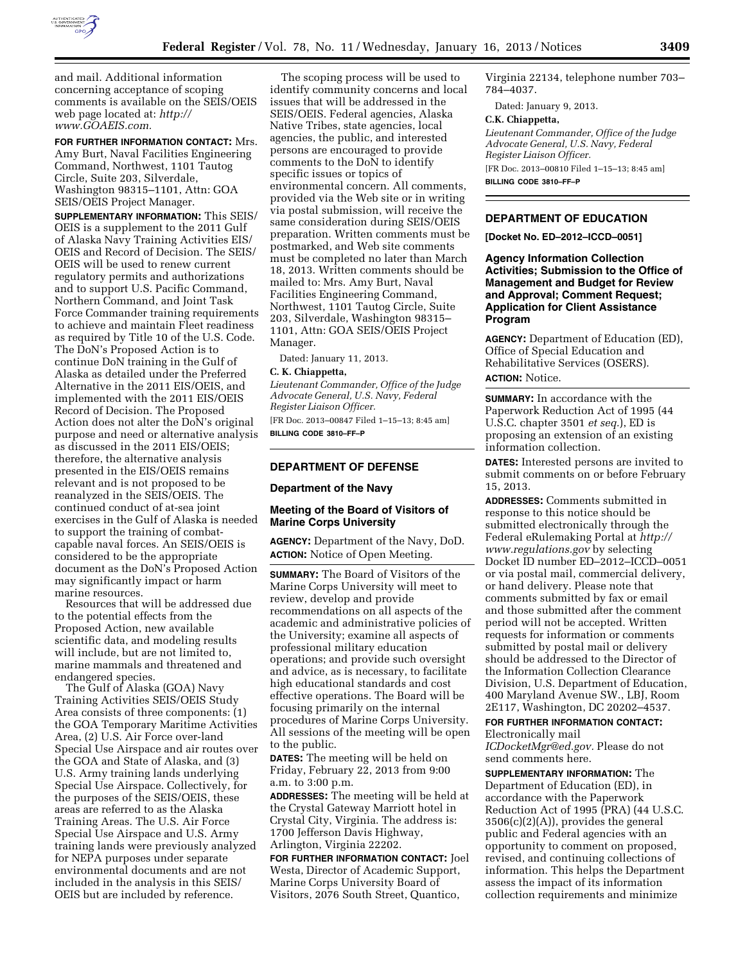

and mail. Additional information concerning acceptance of scoping comments is available on the SEIS/OEIS web page located at: *[http://](http://www.GOAEIS.com) [www.GOAEIS.com.](http://www.GOAEIS.com)* 

**FOR FURTHER INFORMATION CONTACT:** Mrs. Amy Burt, Naval Facilities Engineering Command, Northwest, 1101 Tautog Circle, Suite 203, Silverdale, Washington 98315–1101, Attn: GOA SEIS/OEIS Project Manager.

**SUPPLEMENTARY INFORMATION:** This SEIS/ OEIS is a supplement to the 2011 Gulf of Alaska Navy Training Activities EIS/ OEIS and Record of Decision. The SEIS/ OEIS will be used to renew current regulatory permits and authorizations and to support U.S. Pacific Command, Northern Command, and Joint Task Force Commander training requirements to achieve and maintain Fleet readiness as required by Title 10 of the U.S. Code. The DoN's Proposed Action is to continue DoN training in the Gulf of Alaska as detailed under the Preferred Alternative in the 2011 EIS/OEIS, and implemented with the 2011 EIS/OEIS Record of Decision. The Proposed Action does not alter the DoN's original purpose and need or alternative analysis as discussed in the 2011 EIS/OEIS; therefore, the alternative analysis presented in the EIS/OEIS remains relevant and is not proposed to be reanalyzed in the SEIS/OEIS. The continued conduct of at-sea joint exercises in the Gulf of Alaska is needed to support the training of combatcapable naval forces. An SEIS/OEIS is considered to be the appropriate document as the DoN's Proposed Action may significantly impact or harm marine resources.

Resources that will be addressed due to the potential effects from the Proposed Action, new available scientific data, and modeling results will include, but are not limited to, marine mammals and threatened and endangered species.

The Gulf of Alaska (GOA) Navy Training Activities SEIS/OEIS Study Area consists of three components: (1) the GOA Temporary Maritime Activities Area, (2) U.S. Air Force over-land Special Use Airspace and air routes over the GOA and State of Alaska, and (3) U.S. Army training lands underlying Special Use Airspace. Collectively, for the purposes of the SEIS/OEIS, these areas are referred to as the Alaska Training Areas. The U.S. Air Force Special Use Airspace and U.S. Army training lands were previously analyzed for NEPA purposes under separate environmental documents and are not included in the analysis in this SEIS/ OEIS but are included by reference.

The scoping process will be used to identify community concerns and local issues that will be addressed in the SEIS/OEIS. Federal agencies, Alaska Native Tribes, state agencies, local agencies, the public, and interested persons are encouraged to provide comments to the DoN to identify specific issues or topics of environmental concern. All comments, provided via the Web site or in writing via postal submission, will receive the same consideration during SEIS/OEIS preparation. Written comments must be postmarked, and Web site comments must be completed no later than March 18, 2013. Written comments should be mailed to: Mrs. Amy Burt, Naval Facilities Engineering Command, Northwest, 1101 Tautog Circle, Suite 203, Silverdale, Washington 98315– 1101, Attn: GOA SEIS/OEIS Project Manager.

Dated: January 11, 2013.

## **C. K. Chiappetta,**

*Lieutenant Commander, Office of the Judge Advocate General, U.S. Navy, Federal Register Liaison Officer.*  [FR Doc. 2013–00847 Filed 1–15–13; 8:45 am]

**BILLING CODE 3810–FF–P** 

## **DEPARTMENT OF DEFENSE**

## **Department of the Navy**

## **Meeting of the Board of Visitors of Marine Corps University**

**AGENCY:** Department of the Navy, DoD. **ACTION:** Notice of Open Meeting.

**SUMMARY:** The Board of Visitors of the Marine Corps University will meet to review, develop and provide recommendations on all aspects of the academic and administrative policies of the University; examine all aspects of professional military education operations; and provide such oversight and advice, as is necessary, to facilitate high educational standards and cost effective operations. The Board will be focusing primarily on the internal procedures of Marine Corps University. All sessions of the meeting will be open to the public.

**DATES:** The meeting will be held on Friday, February 22, 2013 from 9:00 a.m. to 3:00 p.m.

**ADDRESSES:** The meeting will be held at the Crystal Gateway Marriott hotel in Crystal City, Virginia. The address is: 1700 Jefferson Davis Highway, Arlington, Virginia 22202.

**FOR FURTHER INFORMATION CONTACT:** Joel Westa, Director of Academic Support, Marine Corps University Board of Visitors, 2076 South Street, Quantico,

Virginia 22134, telephone number 703– 784–4037.

Dated: January 9, 2013.

#### **C.K. Chiappetta,**

*Lieutenant Commander, Office of the Judge Advocate General, U.S. Navy, Federal Register Liaison Officer.*  [FR Doc. 2013–00810 Filed 1–15–13; 8:45 am] **BILLING CODE 3810–FF–P** 

## **DEPARTMENT OF EDUCATION**

**[Docket No. ED–2012–ICCD–0051]** 

**Agency Information Collection Activities; Submission to the Office of Management and Budget for Review and Approval; Comment Request; Application for Client Assistance Program** 

**AGENCY:** Department of Education (ED), Office of Special Education and Rehabilitative Services (OSERS). **ACTION:** Notice.

**SUMMARY:** In accordance with the Paperwork Reduction Act of 1995 (44 U.S.C. chapter 3501 *et seq.*), ED is proposing an extension of an existing information collection.

**DATES:** Interested persons are invited to submit comments on or before February 15, 2013.

**ADDRESSES:** Comments submitted in response to this notice should be submitted electronically through the Federal eRulemaking Portal at *[http://](http://www.regulations.gov) [www.regulations.gov](http://www.regulations.gov)* by selecting Docket ID number ED–2012–ICCD–0051 or via postal mail, commercial delivery, or hand delivery. Please note that comments submitted by fax or email and those submitted after the comment period will not be accepted. Written requests for information or comments submitted by postal mail or delivery should be addressed to the Director of the Information Collection Clearance Division, U.S. Department of Education, 400 Maryland Avenue SW., LBJ, Room 2E117, Washington, DC 20202–4537.

# **FOR FURTHER INFORMATION CONTACT:**  Electronically mail

*[ICDocketMgr@ed.gov.](mailto:ICDocketMgr@ed.gov)* Please do not send comments here.

**SUPPLEMENTARY INFORMATION:** The Department of Education (ED), in accordance with the Paperwork Reduction Act of 1995 (PRA) (44 U.S.C.  $3506(c)(2)(A)$ , provides the general public and Federal agencies with an opportunity to comment on proposed, revised, and continuing collections of information. This helps the Department assess the impact of its information collection requirements and minimize